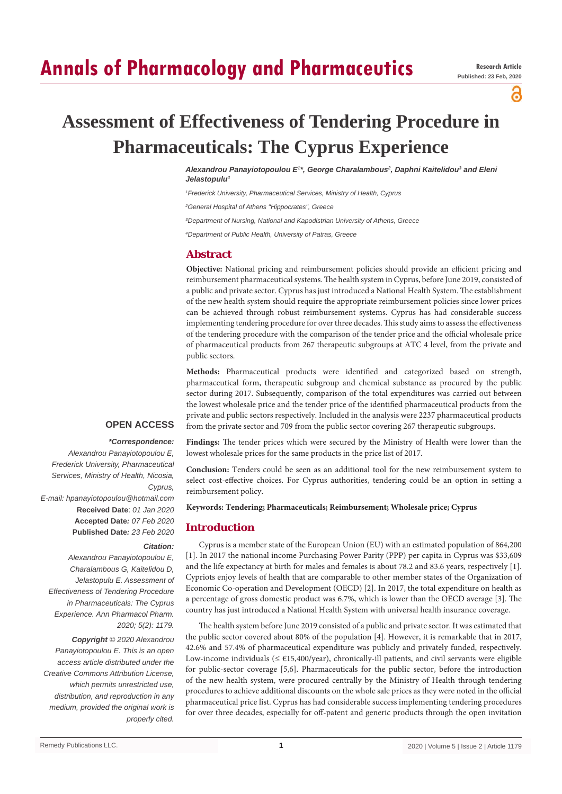# **Annals of Pharmacology and Pharmaceutics**

a

**Assessment of Effectiveness of Tendering Procedure in Pharmaceuticals: The Cyprus Experience**

> *Alexandrou Panayiotopoulou E1 \*, George Charalambous2 , Daphni Kaitelidou3 and Eleni Jelastopulu4*

*1 Frederick University, Pharmaceutical Services, Ministry of Health, Cyprus*

*2 General Hospital of Athens "Hippocrates", Greece*

*3 Department of Nursing, National and Kapodistrian University of Athens, Greece*

*4 Department of Public Health, University of Patras, Greece*

## **Abstract**

**Objective:** National pricing and reimbursement policies should provide an efficient pricing and reimbursement pharmaceutical systems. The health system in Cyprus, before June 2019, consisted of a public and private sector. Cyprus has just introduced a National Health System. The establishment of the new health system should require the appropriate reimbursement policies since lower prices can be achieved through robust reimbursement systems. Cyprus has had considerable success implementing tendering procedure for over three decades. This study aims to assess the effectiveness of the tendering procedure with the comparison of the tender price and the official wholesale price of pharmaceutical products from 267 therapeutic subgroups at ATC 4 level, from the private and public sectors.

**Methods:** Pharmaceutical products were identified and categorized based on strength, pharmaceutical form, therapeutic subgroup and chemical substance as procured by the public sector during 2017. Subsequently, comparison of the total expenditures was carried out between the lowest wholesale price and the tender price of the identified pharmaceutical products from the private and public sectors respectively. Included in the analysis were 2237 pharmaceutical products from the private sector and 709 from the public sector covering 267 therapeutic subgroups.

# **OPEN ACCESS**

#### *\*Correspondence:*

*Alexandrou Panayiotopoulou E, Frederick University, Pharmaceutical Services, Ministry of Health, Nicosia, Cyprus, E-mail: hpanayiotopoulou@hotmail.com* **Received Date**: *01 Jan 2020* **Accepted Date***: 07 Feb 2020* **Published Date***: 23 Feb 2020*

*Citation:* 

*Alexandrou Panayiotopoulou E, Charalambous G, Kaitelidou D, Jelastopulu E. Assessment of Effectiveness of Tendering Procedure in Pharmaceuticals: The Cyprus Experience. Ann Pharmacol Pharm. 2020; 5(2): 1179.*

*Copyright © 2020 Alexandrou Panayiotopoulou E. This is an open access article distributed under the Creative Commons Attribution License, which permits unrestricted use, distribution, and reproduction in any medium, provided the original work is properly cited.*

**Findings:** The tender prices which were secured by the Ministry of Health were lower than the lowest wholesale prices for the same products in the price list of 2017.

**Conclusion:** Tenders could be seen as an additional tool for the new reimbursement system to select cost-effective choices. For Cyprus authorities, tendering could be an option in setting a reimbursement policy.

**Keywords: Tendering; Pharmaceuticals; Reimbursement; Wholesale price; Cyprus**

## **Introduction**

Cyprus is a member state of the European Union (EU) with an estimated population of 864,200 [1]. In 2017 the national income Purchasing Power Parity (PPP) per capita in Cyprus was \$33,609 and the life expectancy at birth for males and females is about 78.2 and 83.6 years, respectively [1]. Cypriots enjoy levels of health that are comparable to other member states of the Organization of Economic Co-operation and Development (OECD) [2]. In 2017, the total expenditure on health as a percentage of gross domestic product was 6.7%, which is lower than the OECD average [3]. The country has just introduced a National Health System with universal health insurance coverage.

The health system before June 2019 consisted of a public and private sector. It was estimated that the public sector covered about 80% of the population [4]. However, it is remarkable that in 2017, 42.6% and 57.4% of pharmaceutical expenditure was publicly and privately funded, respectively. Low-income individuals ( $\leq \text{\textsterling}15,400/\text{year}$ ), chronically-ill patients, and civil servants were eligible for public-sector coverage [5,6]. Pharmaceuticals for the public sector, before the introduction of the new health system, were procured centrally by the Ministry of Health through tendering procedures to achieve additional discounts on the whole sale prices as they were noted in the official pharmaceutical price list. Cyprus has had considerable success implementing tendering procedures for over three decades, especially for off-patent and generic products through the open invitation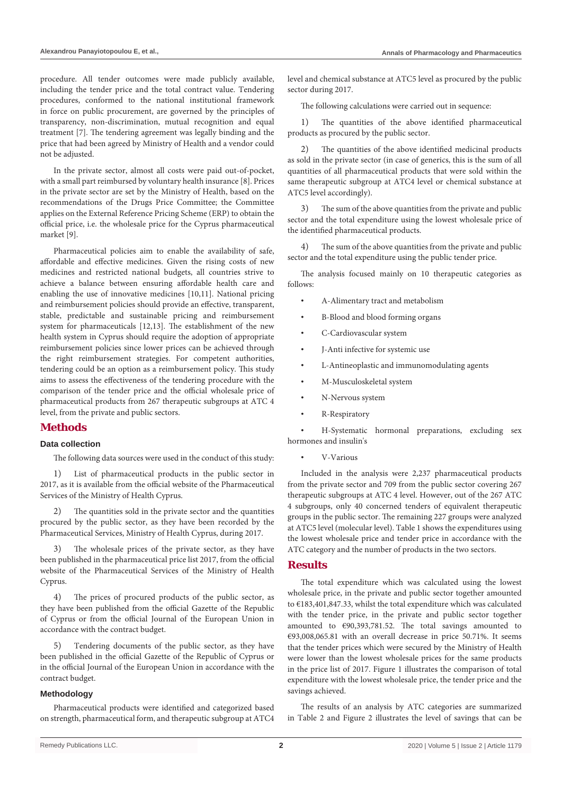procedure. All tender outcomes were made publicly available, including the tender price and the total contract value. Tendering procedures, conformed to the national institutional framework in force on public procurement, are governed by the principles of transparency, non-discrimination, mutual recognition and equal treatment [7]. The tendering agreement was legally binding and the price that had been agreed by Ministry of Health and a vendor could not be adjusted.

In the private sector, almost all costs were paid out-of-pocket, with a small part reimbursed by voluntary health insurance [8]. Prices in the private sector are set by the Ministry of Health, based on the recommendations of the Drugs Price Committee; the Committee applies on the External Reference Pricing Scheme (ERP) to obtain the official price, i.e. the wholesale price for the Cyprus pharmaceutical market [9].

Pharmaceutical policies aim to enable the availability of safe, affordable and effective medicines. Given the rising costs of new medicines and restricted national budgets, all countries strive to achieve a balance between ensuring affordable health care and enabling the use of innovative medicines [10,11]. National pricing and reimbursement policies should provide an effective, transparent, stable, predictable and sustainable pricing and reimbursement system for pharmaceuticals [12,13]. The establishment of the new health system in Cyprus should require the adoption of appropriate reimbursement policies since lower prices can be achieved through the right reimbursement strategies. For competent authorities, tendering could be an option as a reimbursement policy. This study aims to assess the effectiveness of the tendering procedure with the comparison of the tender price and the official wholesale price of pharmaceutical products from 267 therapeutic subgroups at ATC 4 level, from the private and public sectors.

## **Methods**

#### **Data collection**

The following data sources were used in the conduct of this study:

1) List of pharmaceutical products in the public sector in 2017, as it is available from the official website of the Pharmaceutical Services of the Ministry of Health Cyprus.

2) The quantities sold in the private sector and the quantities procured by the public sector, as they have been recorded by the Pharmaceutical Services, Ministry of Health Cyprus, during 2017.

The wholesale prices of the private sector, as they have been published in the pharmaceutical price list 2017, from the official website of the Pharmaceutical Services of the Ministry of Health Cyprus.

4) The prices of procured products of the public sector, as they have been published from the official Gazette of the Republic of Cyprus or from the official Journal of the European Union in accordance with the contract budget.

Tendering documents of the public sector, as they have been published in the official Gazette of the Republic of Cyprus or in the official Journal of the European Union in accordance with the contract budget.

#### **Methodology**

Pharmaceutical products were identified and categorized based on strength, pharmaceutical form, and therapeutic subgroup at ATC4 level and chemical substance at ATC5 level as procured by the public sector during 2017.

The following calculations were carried out in sequence:

1) The quantities of the above identified pharmaceutical products as procured by the public sector.

2) The quantities of the above identified medicinal products as sold in the private sector (in case of generics, this is the sum of all quantities of all pharmaceutical products that were sold within the same therapeutic subgroup at ATC4 level or chemical substance at ATC5 level accordingly).

3) The sum of the above quantities from the private and public sector and the total expenditure using the lowest wholesale price of the identified pharmaceutical products.

4) The sum of the above quantities from the private and public sector and the total expenditure using the public tender price.

The analysis focused mainly on 10 therapeutic categories as follows:

- A-Alimentary tract and metabolism
- B-Blood and blood forming organs
- C-Cardiovascular system
- J-Anti infective for systemic use
- L-Antineoplastic and immunomodulating agents
- M-Musculoskeletal system
- N-Nervous system
- R-Respiratory

H-Systematic hormonal preparations, excluding sex hormones and insulin's

V-Various

Included in the analysis were 2,237 pharmaceutical products from the private sector and 709 from the public sector covering 267 therapeutic subgroups at ATC 4 level. However, out of the 267 ATC 4 subgroups, only 40 concerned tenders of equivalent therapeutic groups in the public sector. The remaining 227 groups were analyzed at ATC5 level (molecular level). Table 1 shows the expenditures using the lowest wholesale price and tender price in accordance with the ATC category and the number of products in the two sectors.

## **Results**

The total expenditure which was calculated using the lowest wholesale price, in the private and public sector together amounted to €183,401,847.33, whilst the total expenditure which was calculated with the tender price, in the private and public sector together amounted to €90,393,781.52. The total savings amounted to €93,008,065.81 with an overall decrease in price 50.71%. It seems that the tender prices which were secured by the Ministry of Health were lower than the lowest wholesale prices for the same products in the price list of 2017. Figure 1 illustrates the comparison of total expenditure with the lowest wholesale price, the tender price and the savings achieved.

The results of an analysis by ATC categories are summarized in Table 2 and Figure 2 illustrates the level of savings that can be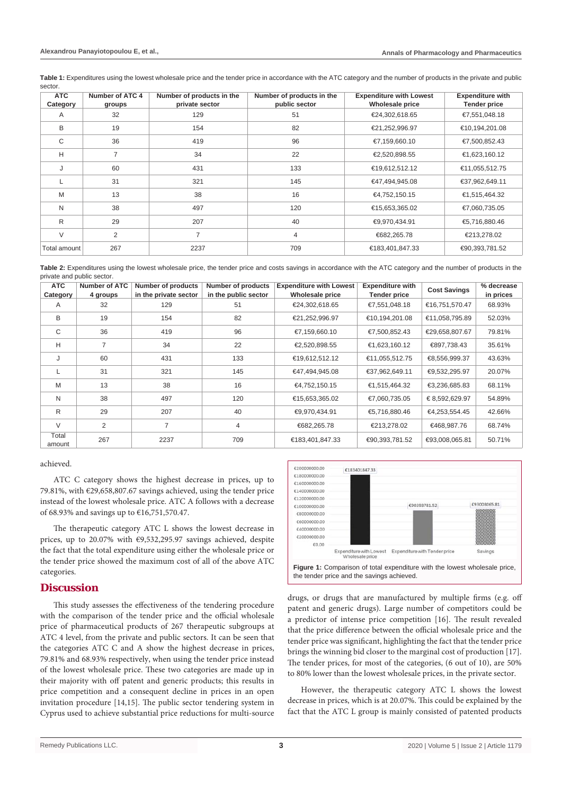**Table 1:** Expenditures using the lowest wholesale price and the tender price in accordance with the ATC category and the number of products in the private and public sector.

| <b>ATC</b><br>Category | Number of ATC 4<br>groups | Number of products in the<br>private sector | Number of products in the<br>public sector | <b>Expenditure with Lowest</b><br>Wholesale price | <b>Expenditure with</b><br><b>Tender price</b> |
|------------------------|---------------------------|---------------------------------------------|--------------------------------------------|---------------------------------------------------|------------------------------------------------|
| A                      | 32                        | 129                                         | 51                                         | €24,302,618.65                                    | €7,551,048.18                                  |
| B                      | 19                        | 154                                         | 82                                         | €21,252,996.97                                    | €10,194,201.08                                 |
| C                      | 36                        | 419                                         | 96                                         | €7,159,660.10                                     | €7,500,852.43                                  |
| H                      | $\overline{7}$            | 34                                          | 22                                         | €2,520,898.55                                     | €1,623,160.12                                  |
| J                      | 60                        | 431                                         | 133                                        | €19,612,512.12                                    | €11,055,512.75                                 |
|                        | 31                        | 321                                         | 145                                        | €47,494,945.08                                    | €37,962,649.11                                 |
| M                      | 13                        | 38                                          | 16                                         | €4,752,150.15                                     | €1,515,464.32                                  |
| N                      | 38                        | 497                                         | 120                                        | €15,653,365.02                                    | €7,060,735.05                                  |
| R                      | 29                        | 207                                         | 40                                         | €9,970,434.91                                     | €5,716,880.46                                  |
| V                      | $\overline{2}$            | 7                                           | $\overline{4}$                             | €682,265.78                                       | €213,278.02                                    |
| Total amount           | 267                       | 2237                                        | 709                                        | €183,401,847.33                                   | €90,393,781.52                                 |

**Table 2:** Expenditures using the lowest wholesale price, the tender price and costs savings in accordance with the ATC category and the number of products in the private and public sector.

| <b>ATC</b><br>Category | <b>Number of ATC</b><br>4 groups | Number of products<br>in the private sector | Number of products<br>in the public sector | <b>Expenditure with Lowest</b><br><b>Wholesale price</b> | <b>Expenditure with</b><br><b>Tender price</b> | <b>Cost Savings</b> | % decrease<br>in prices |
|------------------------|----------------------------------|---------------------------------------------|--------------------------------------------|----------------------------------------------------------|------------------------------------------------|---------------------|-------------------------|
| A                      | 32                               | 129                                         | 51                                         | €24,302,618.65                                           | €7,551,048.18                                  | €16,751,570.47      | 68.93%                  |
| B                      | 19                               | 154                                         | 82                                         | €21,252,996.97                                           | €10,194,201.08                                 | €11,058,795.89      | 52.03%                  |
| C                      | 36                               | 419                                         | 96                                         | €7,159,660.10                                            | €7,500,852.43                                  | €29,658,807.67      | 79.81%                  |
| H                      | 7                                | 34                                          | 22                                         | €2,520,898.55                                            | €1,623,160.12                                  | €897,738.43         | 35.61%                  |
| J                      | 60                               | 431                                         | 133                                        | €19,612,512.12                                           | €11,055,512.75                                 | €8,556,999.37       | 43.63%                  |
|                        | 31                               | 321                                         | 145                                        | €47,494,945.08                                           | €37,962,649.11                                 | €9,532,295.97       | 20.07%                  |
| M                      | 13                               | 38                                          | 16                                         | €4,752,150.15                                            | €1,515,464.32                                  | €3,236,685.83       | 68.11%                  |
| N                      | 38                               | 497                                         | 120                                        | €15,653,365.02                                           | €7,060,735.05                                  | €8,592,629.97       | 54.89%                  |
| R                      | 29                               | 207                                         | 40                                         | €9,970,434.91                                            | €5,716,880.46                                  | €4,253,554.45       | 42.66%                  |
| $\vee$                 | 2                                | $\overline{7}$                              | 4                                          | €682,265.78                                              | €213,278.02                                    | €468,987.76         | 68.74%                  |
| Total<br>amount        | 267                              | 2237                                        | 709                                        | €183,401,847.33                                          | €90,393,781.52                                 | €93,008,065.81      | 50.71%                  |

achieved.

ATC C category shows the highest decrease in prices, up to 79.81%, with €29,658,807.67 savings achieved, using the tender price instead of the lowest wholesale price. ATC A follows with a decrease of 68.93% and savings up to €16,751,570.47.

The therapeutic category ATC L shows the lowest decrease in prices, up to 20.07% with €9,532,295.97 savings achieved, despite the fact that the total expenditure using either the wholesale price or the tender price showed the maximum cost of all of the above ATC categories.

## **Discussion**

This study assesses the effectiveness of the tendering procedure with the comparison of the tender price and the official wholesale price of pharmaceutical products of 267 therapeutic subgroups at ATC 4 level, from the private and public sectors. It can be seen that the categories ATC C and A show the highest decrease in prices, 79.81% and 68.93% respectively, when using the tender price instead of the lowest wholesale price. These two categories are made up in their majority with off patent and generic products; this results in price competition and a consequent decline in prices in an open invitation procedure [14,15]. The public sector tendering system in Cyprus used to achieve substantial price reductions for multi-source



drugs, or drugs that are manufactured by multiple firms (e.g. off patent and generic drugs). Large number of competitors could be a predictor of intense price competition [16]. The result revealed that the price difference between the official wholesale price and the tender price was significant, highlighting the fact that the tender price brings the winning bid closer to the marginal cost of production [17]. The tender prices, for most of the categories, (6 out of 10), are 50% to 80% lower than the lowest wholesale prices, in the private sector.

However, the therapeutic category ATC L shows the lowest decrease in prices, which is at 20.07%. This could be explained by the fact that the ATC L group is mainly consisted of patented products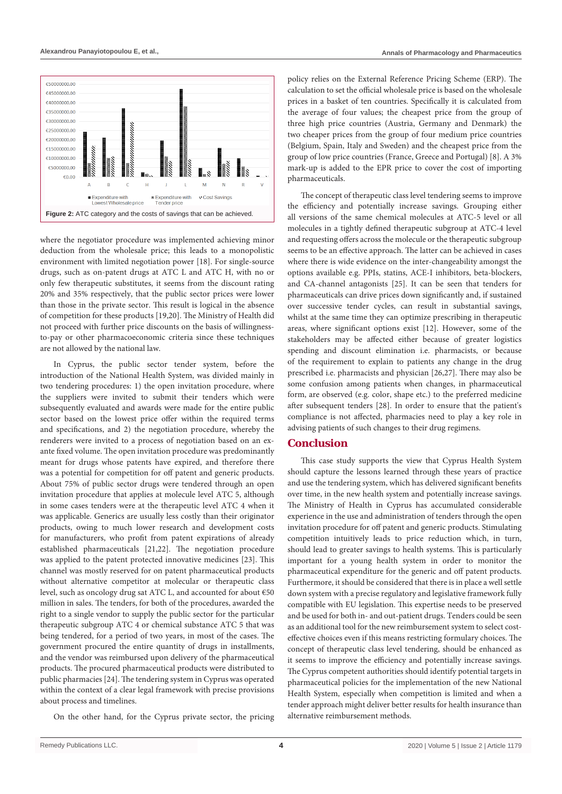

where the negotiator procedure was implemented achieving minor deduction from the wholesale price; this leads to a monopolistic environment with limited negotiation power [18]. For single-source drugs, such as on-patent drugs at ATC L and ATC H, with no or only few therapeutic substitutes, it seems from the discount rating 20% and 35% respectively, that the public sector prices were lower than those in the private sector. This result is logical in the absence of competition for these products [19,20]. The Ministry of Health did not proceed with further price discounts on the basis of willingnessto-pay or other pharmacoeconomic criteria since these techniques are not allowed by the national law.

In Cyprus, the public sector tender system, before the introduction of the National Health System, was divided mainly in two tendering procedures: 1) the open invitation procedure, where the suppliers were invited to submit their tenders which were subsequently evaluated and awards were made for the entire public sector based on the lowest price offer within the required terms and specifications, and 2) the negotiation procedure, whereby the renderers were invited to a process of negotiation based on an exante fixed volume. The open invitation procedure was predominantly meant for drugs whose patents have expired, and therefore there was a potential for competition for off patent and generic products. About 75% of public sector drugs were tendered through an open invitation procedure that applies at molecule level ATC 5, although in some cases tenders were at the therapeutic level ATC 4 when it was applicable. Generics are usually less costly than their originator products, owing to much lower research and development costs for manufacturers, who profit from patent expirations of already established pharmaceuticals [21,22]. The negotiation procedure was applied to the patent protected innovative medicines [23]. This channel was mostly reserved for on patent pharmaceutical products without alternative competitor at molecular or therapeutic class level, such as oncology drug sat ATC L, and accounted for about €50 million in sales. The tenders, for both of the procedures, awarded the right to a single vendor to supply the public sector for the particular therapeutic subgroup ATC 4 or chemical substance ATC 5 that was being tendered, for a period of two years, in most of the cases. The government procured the entire quantity of drugs in installments, and the vendor was reimbursed upon delivery of the pharmaceutical products. The procured pharmaceutical products were distributed to public pharmacies [24]. The tendering system in Cyprus was operated within the context of a clear legal framework with precise provisions about process and timelines.

On the other hand, for the Cyprus private sector, the pricing

policy relies on the External Reference Pricing Scheme (ERP). The calculation to set the official wholesale price is based on the wholesale prices in a basket of ten countries. Specifically it is calculated from the average of four values; the cheapest price from the group of three high price countries (Austria, Germany and Denmark) the two cheaper prices from the group of four medium price countries (Belgium, Spain, Italy and Sweden) and the cheapest price from the group of low price countries (France, Greece and Portugal) [8]. A 3% mark-up is added to the EPR price to cover the cost of importing pharmaceuticals.

The concept of therapeutic class level tendering seems to improve the efficiency and potentially increase savings. Grouping either all versions of the same chemical molecules at ATC-5 level or all molecules in a tightly defined therapeutic subgroup at ATC-4 level and requesting offers across the molecule or the therapeutic subgroup seems to be an effective approach. The latter can be achieved in cases where there is wide evidence on the inter-changeability amongst the options available e.g. PPIs, statins, ACE-I inhibitors, beta-blockers, and CA-channel antagonists [25]. It can be seen that tenders for pharmaceuticals can drive prices down significantly and, if sustained over successive tender cycles, can result in substantial savings, whilst at the same time they can optimize prescribing in therapeutic areas, where significant options exist [12]. However, some of the stakeholders may be affected either because of greater logistics spending and discount elimination i.e. pharmacists, or because of the requirement to explain to patients any change in the drug prescribed i.e. pharmacists and physician [26,27]. There may also be some confusion among patients when changes, in pharmaceutical form, are observed (e.g. color, shape etc.) to the preferred medicine after subsequent tenders [28]. In order to ensure that the patient's compliance is not affected, pharmacies need to play a key role in advising patients of such changes to their drug regimens.

## **Conclusion**

This case study supports the view that Cyprus Health System should capture the lessons learned through these years of practice and use the tendering system, which has delivered significant benefits over time, in the new health system and potentially increase savings. The Ministry of Health in Cyprus has accumulated considerable experience in the use and administration of tenders through the open invitation procedure for off patent and generic products. Stimulating competition intuitively leads to price reduction which, in turn, should lead to greater savings to health systems. This is particularly important for a young health system in order to monitor the pharmaceutical expenditure for the generic and off patent products. Furthermore, it should be considered that there is in place a well settle down system with a precise regulatory and legislative framework fully compatible with EU legislation. This expertise needs to be preserved and be used for both in- and out-patient drugs. Tenders could be seen as an additional tool for the new reimbursement system to select costeffective choices even if this means restricting formulary choices. The concept of therapeutic class level tendering, should be enhanced as it seems to improve the efficiency and potentially increase savings. The Cyprus competent authorities should identify potential targets in pharmaceutical policies for the implementation of the new National Health System, especially when competition is limited and when a tender approach might deliver better results for health insurance than alternative reimbursement methods.